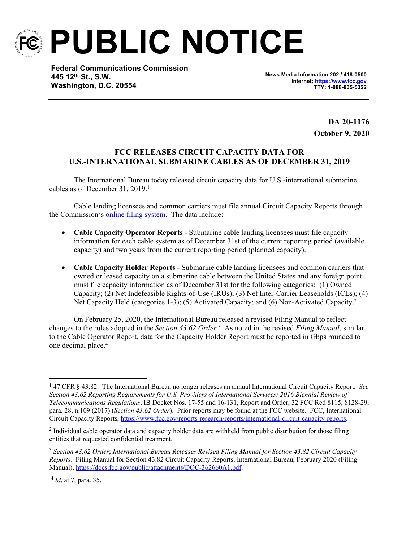

**PUBLIC NOTICE**

**Federal Communications Commission 445 12th St., S.W. Washington, D.C. 20554**

**News Media Information 202 / 418-0500 Internet:<https://www.fcc.gov> TTY: 1-888-835-5322**

> **DA 20-1176 October 9, 2020**

## **FCC RELEASES CIRCUIT CAPACITY DATA FOR U.S.-INTERNATIONAL SUBMARINE CABLES AS OF DECEMBER 31, 2019**

The International Bureau today released circuit capacity data for U.S.-international submarine cables as of December 31, 2019.<sup>1</sup>

Cable landing licensees and common carriers must file annual Circuit Capacity Reports through the Commission's [online filing system.](https://apps2.fcc.gov/section4362/login.xhtml) The data include:

- **Cable Capacity Operator Reports -** Submarine cable landing licensees must file capacity information for each cable system as of December 31st of the current reporting period (available capacity) and two years from the current reporting period (planned capacity).
- **Cable Capacity Holder Reports -** Submarine cable landing licensees and common carriers that owned or leased capacity on a submarine cable between the United States and any foreign point must file capacity information as of December 31st for the following categories: (1) Owned Capacity; (2) Net Indefeasible Rights-of-Use (IRUs); (3) Net Inter-Carrier Leaseholds (ICLs); (4) Net Capacity Held (categories 1-3); (5) Activated Capacity; and (6) Non-Activated Capacity.<sup>2</sup>

On February 25, 2020, the International Bureau released a revised Filing Manual to reflect changes to the rules adopted in the *Section 43.62 Order.*<sup>3</sup> As noted in the revised *Filing Manual*, similar to the Cable Operator Report, data for the Capacity Holder Report must be reported in Gbps rounded to one decimal place.<sup>4</sup>

<sup>1</sup> 47 CFR § 43.82. The International Bureau no longer releases an annual International Circuit Capacity Report. *See Section 43.62 Reporting Requirements for U.S. Providers of International Services; 2016 Biennial Review of Telecommunications Regulations*, IB Docket Nos. 17-55 and 16-131, Report and Order, 32 FCC Rcd 8115, 8128-29, para. 28, n.109 (2017) (*Section 43.62 Order*). Prior reports may be found at the FCC website. FCC, International Circuit Capacity Reports, [https://www.fcc.gov/reports-research/reports/international-circuit-capacity-reports.](https://www.fcc.gov/reports-research/reports/international-circuit-capacity-reports)

 $2$  Individual cable operator data and capacity holder data are withheld from public distribution for those filing entities that requested confidential treatment.

<sup>3</sup> *Section 43.62 Order*; *International Bureau Releases Revised Filing Manual for Section 43.82 Circuit Capacity Reports.* Filing Manual for Section 43.82 Circuit Capacity Reports, International Bureau, February 2020 (Filing Manual), [https://docs.fcc.gov/public/attachments/DOC-362660A1.pdf.](https://docs.fcc.gov/public/attachments/DOC-362660A1.pdf)

<sup>4</sup> *Id*. at 7, para. 35.